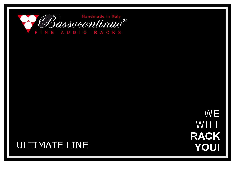

**WE** WILL **RACK YOU!** 

## **ULTIMATE LINE**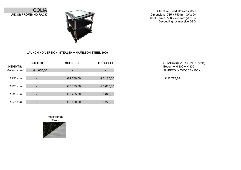

Structure: Solid stainless steel Dimensions: 785 x 750 mm (W x D) Useful sizes: 530 x 750 mm (W x D) Decoupling: by massive DSD



## **LAUNCHING VERSION: STEALTH + HAMILTON STEEL 5000**

| <b>HEIGHTS:</b>     | <b>BOTTOM</b> | <b>MID SHELF</b> | <b>TOP SHELF</b> | <b>STANDARD</b><br>Bottom + H 3 |
|---------------------|---------------|------------------|------------------|---------------------------------|
| <b>Bottom shelf</b> | € 4.850,00    | ٠.               | ÷                | SHIPPED IN                      |
| H 150 mm            |               | € 2.730,00       | € 5.180,00       | € 12.770,00                     |
| H 225 mm            |               | € 3.175,00       | € 5.610,00       |                                 |
| H 300 mm            |               | € 3.465,00       | € 5.840,00       |                                 |
| H 375 mm            | ۰             | € 3.860,00       | 6.270,00         |                                 |

SHIPPED IN WOODEN BOX STANDARD VERSION (3 levels) Bottom + H 300 + H 300

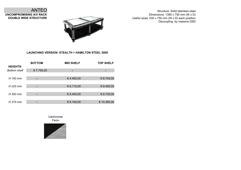Structure: Solid stainless steel Dimensions: 1390 x 750 mm (W x D) Useful sizes: 530 x 750 mm (W x D) each position Decoupling: by massive DSD



## **LAUNCHING VERSION: STEALTH + HAMILTON STEEL 5000**

| <b>HEIGHTS:</b>     | <b>BOTTOM</b> | <b>MID SHELF</b> | <b>TOP SHELF</b> |
|---------------------|---------------|------------------|------------------|
| <b>Bottom shelf</b> | € 7.755,00    |                  |                  |
| H 150 mm            | -             | €4.455,00        | € 8.745,00       |
| $H$ 225 mm          |               | € 5.115,00       | € 9.400,00       |
| H 300 mm            | -             | € 5.445,00       | € 9.735,00       |
| H 375 mm            |               | € 6.100,00       | € 10.395,00      |

Fenix Valchromat



ANTEO **UNCOMPROMISING A/V RACK DOUBLE WIDE STRUCTURE**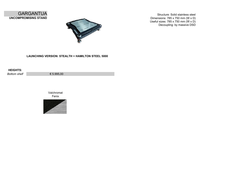



Structure: Solid stainless steel Dimensions: 785 x 750 mm (W x D) Useful sizes: 785 x 750 mm (W x D) Decoupling: by massive DSD

**LAUNCHING VERSION: STEALTH + HAMILTON STEEL 5000**

| <b>HEIGHTS:</b> |            |
|-----------------|------------|
| Bottom shelf    | € 5.995,00 |

Fenix Valchromat